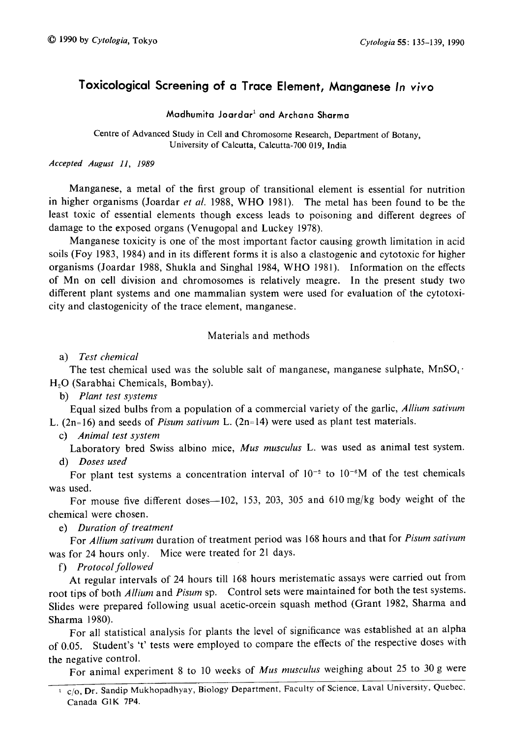# Toxicological Screening of a Trace Element, Manganese In vivo

# Madhumita Joardar<sup>1</sup> and Archana Sharma

Centre of Advanced Study in Cell and Chromosome Research, Department of Botany, University of Calcutta, Calcutta-700 019, India

Accepted August 11, 1989

Manganese, a metal of the first group of transitional element is essential for nutrition in higher organisms (Joardar et al. 1988, WHO 1981). The metal has been found to be the least toxic of essential elements though excess leads to poisoning and different degrees of damage to the exposed organs (Venugopal and Luckey 1978).

Manganese toxicity is one of the most important factor causing growth limitation in acid soils (Foy 1983, 1984) and in its different forms it is also a clastogenic and cytotoxic for higher organisms (Joardar 1988, Shukla and Singhal 1984, WHO 1981). Information on the effects of Mn on cell division and chromosomes is relatively meagre. In the present study two different plant systems and one mammalian system were used for evaluation of the cytotoxi city and clastogenicity of the trace element, manganese.

# Materials and methods

a) Test chemical

The test chemical used was the soluble salt of manganese, manganese sulphate,  $MnSO_4$ . H<sub>2</sub>O (Sarabhai Chemicals, Bombay).

b) Plant test systems

Equal sized bulbs from a population of a commercial variety of the garlic, Allium sativum L.  $(2n=16)$  and seeds of *Pisum sativum* L.  $(2n=14)$  were used as plant test materials.

c) Animal test system

Laboratory bred Swiss albino mice, Mus musculus L. was used as animal test system. d) Doses used

For plant test systems a concentration interval of  $10^{-2}$  to  $10^{-6}M$  of the test chemicals was used.

For mouse five different doses-102, 153, 203, 305 and 610 mg/kg body weight of the chemical were chosen.

e) Duration of treatment

For Allium sativum duration of treatment period was 168 hours and that for Pisum sativum was for 24 hours only. Mice were treated for 21 days.

f) Protocol followed

At regular intervals of 24 hours till 168 hours meristematic assays were carried out from root tips of both Allium and Pisum sp. Control sets were maintained for both the test systems. Slides were prepared following usual acetic-orcein squash method (Grant 1982, Sharma and Sharma 1980).

For all statistical analysis for plants the level of significance was established at an alpha of 0.05. Student's 't' tests were employed to compare the effects of the respective doses with the negative control.

For animal experiment 8 to 10 weeks of Mus musculus weighing about 25 to 30 g were

<sup>&</sup>lt;sup>1</sup> c/o, Dr. Sandip Mukhopadhyay, Biology Department, Faculty of Science, Laval University, Quebec, Canada G1K 7P4.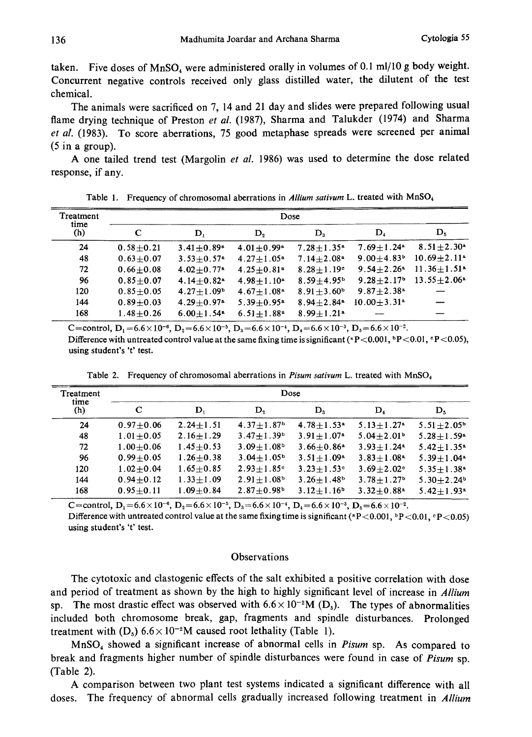taken. Five doses of  $MnSO_4$  were administered orally in volumes of 0.1 ml/10 g body weight. Concurrent negative controls received only glass distilled water, the dilutent of the test chemical.

The animals were sacrificed on 7, 14 and 21 day and slides were prepared following usual flame drying technique of Preston et al. (1987), Sharma and Talukder (1974) and Sharma et al. (1983). To score aberrations, 75 good metaphase spreads were screened per animal (5 in a group).

A one tailed trend test (Margolin et al. 1986) was used to determine the dose related response, if any.

| Treatment<br>time<br>(h) | Dose          |                            |                            |                            |                              |                             |  |
|--------------------------|---------------|----------------------------|----------------------------|----------------------------|------------------------------|-----------------------------|--|
|                          | C             | D,                         | $\mathbf{D}_2$             | $\mathbf{D}_3$             | $\mathbf{D}_4$               | $\mathbf{D}_5$              |  |
| 24                       | $0.58 + 0.21$ | $3.41 + 0.89$ <sup>a</sup> | $4.01 + 0.99$ <sup>a</sup> | $7.28 + 1.35^*$            | $7.69 \pm 1.24$ <sup>8</sup> | $8.51 + 2.30^a$             |  |
| 48                       | $0.63 + 0.07$ | $3.53 + 0.57$ <sup>a</sup> | $4.27 + 1.05^a$            | $7.14 + 2.08$ <sup>a</sup> | $9.00 + 4.83$ <sup>b</sup>   | $10.69 + 2.11$ <sup>a</sup> |  |
| 72                       | $0.66 + 0.08$ | $4.02 + 0.77$ <sup>a</sup> | $4.25 + 0.81$ <sup>a</sup> | $8.28 + 1.19$ <sup>c</sup> | $9.54 + 2.26$ <sup>a</sup>   | $11.36 + 1.51$ <sup>a</sup> |  |
| 96                       | $0.85 + 0.07$ | $4.14 + 0.82$ <sup>a</sup> | $4.98 + 1.10^a$            | $8.59 + 4.95b$             | $9.28 + 2.17$ <sup>b</sup>   | $13.55 + 2.06^*$            |  |
| 120                      | $0.85 + 0.05$ | $4.27 + 1.09b$             | $4.67 + 1.08a$             | $8.91 + 3.60^b$            | $9.87 + 2.38$ <sup>a</sup>   |                             |  |
| 144                      | $0.89 + 0.03$ | $4.29 + 0.97$ <sup>a</sup> | $5.39 + 0.95$ <sup>a</sup> | $8.94 + 2.84$ <sup>*</sup> | $10.00 + 3.31$ <sup>a</sup>  |                             |  |
| 168                      | $1.48 + 0.26$ | $6.00 + 1.54$ <sup>a</sup> | $6.51 + 1.88$ <sup>a</sup> | $8.99 + 1.21$ <sup>a</sup> |                              |                             |  |

Table 1. Frequency of chromosomal aberrations in Allium sativum L. treated with MnSO<sub>4</sub>

C=control,  $D_1=6.6\times10^{-6}$ ,  $D_2=6.6\times10^{-5}$ ,  $D_3=6.6\times10^{-4}$ ,  $D_4=6.6\times10^{-3}$ ,  $D_5=6.6\times10^{-2}$ . Difference with untreated control value at the same fixing time is significant (\*P<0.001, \*P<0.01, \*P<0.05), using student's 't' test.

| Treatment<br>time<br>(h) | Dose          |                |                            |                              |                            |                            |  |
|--------------------------|---------------|----------------|----------------------------|------------------------------|----------------------------|----------------------------|--|
|                          | C             | $\mathbf{D}_1$ | D,                         | $\mathbf{D}_3$               | $\mathbf{D}_4$             | $\mathbf{D}_5$             |  |
| 24                       | $0.97 + 0.06$ | $2.24 + 1.51$  | $4.37 + 1.87$ <sup>b</sup> | $4.78 + 1.53$ <sup>a</sup>   | $5.13 + 1.27$ <sup>a</sup> | $5.51 + 2.05^b$            |  |
| 48                       | $1.01 + 0.05$ | $2.16 + 1.29$  | $3.47 + 1.39b$             | $3.91 \pm 1.07$ <sup>a</sup> | $5.04 + 2.01$ <sup>b</sup> | $5.28 + 1.59*$             |  |
| 72                       | $1.00 + 0.06$ | $1.45 + 0.53$  | $3.09 + 1.08$              | $3.66 + 0.86$ <sup>a</sup>   | $3.93 + 1.24$ <sup>a</sup> | $5.42 + 1.35$ <sup>a</sup> |  |
| 96                       | $0.99 + 0.05$ | $1.26 + 0.38$  | $3.04 + 1.05^b$            | $3.51 + 1.09^a$              | $3.83 + 1.08$ <sup>a</sup> | $5.39 + 1.04$ <sup>a</sup> |  |
| 120                      | $1.02 + 0.04$ | $1.65 + 0.85$  | $2.93 + 1.85$ <sup>c</sup> | $3.23 + 1.53$ °              | $3.69 + 2.02$ <sup>c</sup> | $5.35 + 1.38$ <sup>a</sup> |  |
| 144                      | $0.94 + 0.12$ | $1.33 + 1.09$  | $2.91 \pm 1.08^b$          | $3.26 + 1.48$ <sup>b</sup>   | $3.78 + 1.27$ <sup>b</sup> | $5.30 + 2.24$ <sup>b</sup> |  |
| 168                      | $0.95 + 0.11$ | $1.09 + 0.84$  | $2.87 + 0.98$ <sup>b</sup> | $3.12 + 1.16$ <sup>b</sup>   | $3.32+0.88a$               | $5.42 + 1.93$ <sup>s</sup> |  |

Table 2. Frequency of chromosomal aberrations in Pisum sativum L. treated with  $MnSO<sub>4</sub>$ 

C=control,  $D_1=6.6\times10^{-6}$ ,  $D_2=6.6\times10^{-5}$ ,  $D_3=6.6\times10^{-4}$ ,  $D_4=6.6\times10^{-3}$ ,  $D_5=6.6\times10^{-2}$ .

Difference with untreated control value at the same fixing time is significant ( $P < 0.001$ ,  $P < 0.01$ ,  $P < 0.05$ ) using student's 't' test.

## **Observations**

The cytotoxic and clastogenic effects of the salt exhibited a positive correlation with dose and period of treatment as shown by the high to highly significant level of increase in Allium sp. The most drastic effect was observed with  $6.6 \times 10^{-2}$ M (D<sub>5</sub>). The types of abnormalities included both chromosome break, gap, fragments and spindle disturbances. Prolonged treatment with  $(D_5)$  6.6 × 10<sup>-2</sup>M caused root lethality (Table 1).

 $MnSO<sub>4</sub>$  showed a significant increase of abnormal cells in Pisum sp. As compared to break and fragments higher number of spindle disturbances were found in case of Pisum sp. (Table 2).

A comparison between two plant test systems indicated a significant difference with all doses. The frequency of abnormal cells gradually increased following treatment in Allium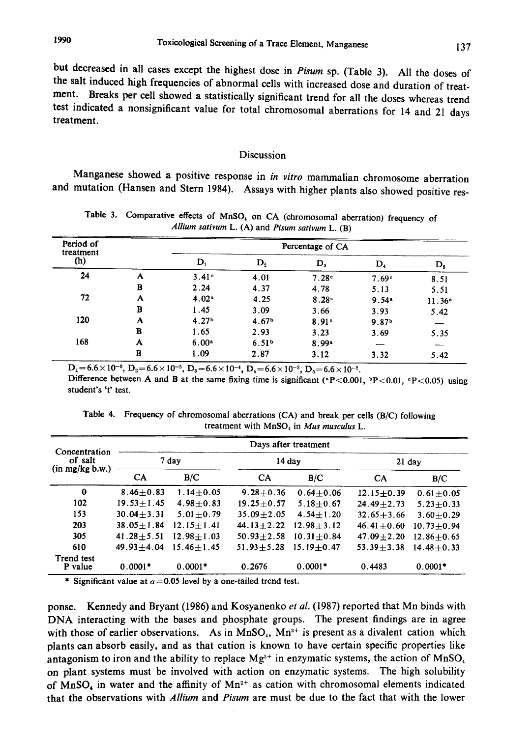but decreased in all cases except the highest dose in Pisum sp. (Table 3). All the doses of

the salt induced high frequencies of abnormal cells with increased dose and duration of trea ment. Breaks per cell showed a statistically significant trend for all the doses whereas trend est indicated a nonsignificant value for total chromosomal aberrations for 14 and 21 days treatment.

#### Discussion

Manganese showed a positive response in in vitro mammalian chromosome aberration and mutation (Hansen and Stern 1984). Assays with higher plants also showed positive res

| Period of<br>treatment |   | Percentage of CA  |                   |                   |                   |          |  |  |
|------------------------|---|-------------------|-------------------|-------------------|-------------------|----------|--|--|
| (h)                    |   | D,                | D <sub>2</sub>    | $\mathbf{D}_3$    | $D_4$             | $D_5$    |  |  |
| 24                     | A | 3.41°             | 4.01              | 7.28 <sup>c</sup> | 7.69 <sup>c</sup> | 8.51     |  |  |
|                        | в | 2.24              | 4.37              | 4.78              | 5.13              | 5.51     |  |  |
| 72                     | A | 4.02 <sup>n</sup> | 4.25              | 8.28 <sup>a</sup> | 9.54 <sup>a</sup> | $11.36*$ |  |  |
|                        | в | 1.45              | 3.09              | 3.66              | 3.93              | 5.42     |  |  |
| 120                    | A | 4.27 <sup>b</sup> | 4.67 <sup>b</sup> | 8.91 <sup>c</sup> | 9.87 <sup>b</sup> |          |  |  |
|                        | в | 1.65              | 2.93              | 3.23              | 3.69              | 5.35     |  |  |
| 168                    | A | 6.00 <sup>a</sup> | 6.51 <sup>b</sup> | $8.99*$           |                   |          |  |  |
|                        | B | 1.09              | 2.87              | 3.12              | 3.32              | 5.42     |  |  |

Table 3. Comparative effects of  $MnSO<sub>4</sub>$  on CA (chromosomal aberration) frequency of Allium sativum  $L. (A)$  and Pisum sativum  $L. (B)$ 

 ${\rm D_1}\!=\!6.6\!\times\!10^{-6},\,{\rm D_2}\!=\!6.6\!\times\!10^{-5},\,{\rm D_3}\!=\!6.6\!\times\!10^{-4},\,{\rm D_4}\!=\!6.6\!\times\!10^{-3},\,{\rm D_5}\!=\!6.6\!\times\!10^{-4}$ Difference between A and B at the same fixing time is significant (\*P<0.001, \*P<0.01, \*P<0.05) using student's 't' test.

| Concentration<br>of salt<br>$(in \, mg/kg b.w.)$ | Days after treatment |                  |                |                |                |                 |  |
|--------------------------------------------------|----------------------|------------------|----------------|----------------|----------------|-----------------|--|
|                                                  | 7 day                |                  | $14$ day       |                | $21$ day       |                 |  |
|                                                  | CA                   | B/C              | <b>CA</b>      | B/C            | <b>CA</b>      | B/C             |  |
| $\bf{0}$                                         | $8.46 + 0.83$        | $1.14 + 0.05$    | $9.28 + 0.36$  | $0.64 + 0.06$  | $12.15 + 0.39$ | $0.61 + 0.05$   |  |
| 102                                              | $19.53 + 1.45$       | $4.98 + 0.83$    | $19.25 + 0.57$ | $5.18 + 0.67$  | $24.49 + 2.73$ | $5.23 \pm 0.33$ |  |
| 153                                              | $30.04 \pm 3.31$     | $5.01 + 0.79$    | $35.09 + 2.05$ | $4.54 + 1.20$  | $32.65 + 3.66$ | $3.60 + 0.29$   |  |
| 203                                              | $38.05 \pm 1.84$     | $12.15 + 1.41$   | $44.13 + 2.22$ | $12.98 + 3.12$ | $46.41 + 0.60$ | $10.73 + 0.94$  |  |
| 305                                              | $41.28 + 5.51$       | $12.98 \pm 1.03$ | $50.93 + 2.58$ | $10.31 + 0.84$ | $47.09 + 2.20$ | $12.86 + 0.65$  |  |
| 610                                              | $49.93 + 4.04$       | $15.46 + 1.45$   | $51.93 + 5.28$ | $15.19 + 0.47$ | $53.39 + 3.38$ | $14.48 + 0.33$  |  |
| Trend test<br>P value                            | $0.0001*$            | $0.0001*$        | 0.2676         | $0.0001*$      | 0.4483         | $0.0001*$       |  |

Table 4. Frequency of chromosomal aberrations (CA) and break per cells (B/C) following treatment with  $MnSO<sub>4</sub>$  in Mus musculus L.

\* Significant value at  $\alpha$  = 0.05 level by a one-tailed trend test.

ponse. Kennedy and Bryant (1986) and Kosyanenko et al. (1987) reported that Mn binds with DNA interacting with the bases and phosphate groups. The present findings are in agree with those of earlier observations. As in MnSO<sub>4</sub>,  $Mn^{2+}$  is present as a divalent cation which plants can absorb easily, and as that cation is known to have certain specific properties like antagonism to iron and the ability to replace  $Mg^{2+}$  in enzymatic systems, the action of  $MnSO<sub>4</sub>$ on plant systems must be involved with action on enzymatic systems. The high solubility of MnSO<sub>4</sub> in water and the affinity of  $Mn^{2+}$  as cation with chromosomal elements indicated that the observations with Allium and Pisum are must be due to the fact that with the lower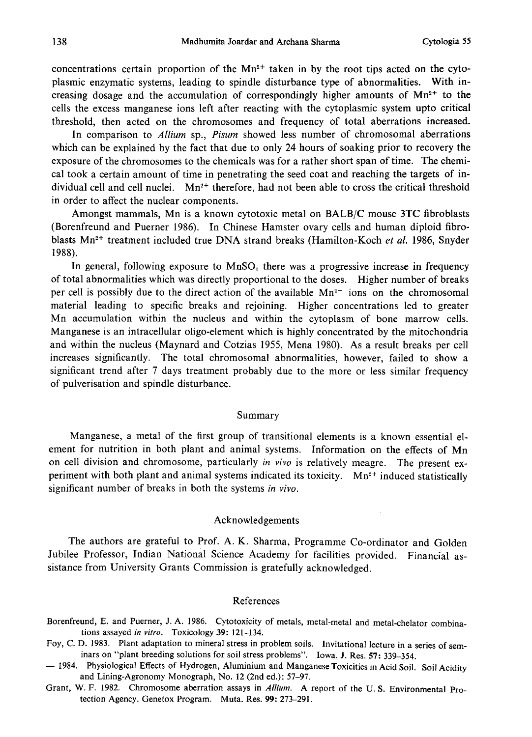concentrations certain proportion of the  $Mn^{2+}$  taken in by the root tips acted on the cytoplasmic enzymatic systems, leading to spindle disturbance type of abnormalities. With in creasing dosage and the accumulation of correspondingly higher amounts of  $Mn^{2+}$  to the cells the excess manganese ions left after reacting with the cytoplasmic system upto critical threshold, then acted on the chromosomes and frequency of total aberrations increased.

In comparison to *Allium* sp., *Pisum* showed less number of chromosomal aberrations which can be explained by the fact that due to only 24 hours of soaking prior to recovery the exposure of the chromosomes to the chemicals was for a rather short span of time. The chemi cal took a certain amount of time in penetrating the seed coat and reaching the targets of in dividual cell and cell nuclei.  $Mn^2$ <sup>+</sup> therefore, had not been able to cross the critical threshold in order to affect the nuclear components.

Amongst mammals, Mn is a known cytotoxic metal on BALB/C mouse 3TC fibroblasts (Borenfreund and Puerner 1986). In Chinese Hamster ovary cells and human diploid fibro blasts Mn<sup>2+</sup> treatment included true DNA strand breaks (Hamilton-Koch et al. 1986, Snyder 1988).

In general, following exposure to  $MnSO<sub>4</sub>$  there was a progressive increase in frequency of total abnormalities which was directly proportional to the doses. Higher number of breaks per cell is possibly due to the direct action of the available  $Mn^{2+}$  ions on the chromosomal material leading to specific breaks and rejoining. Higher concentrations led to greater Mn accumulation within the nucleus and within the cytoplasm of bone marrow cells. Manganese is an intracellular oligo-element which is highly concentrated by the mitochondria and within the nucleus (Maynard and Cotzias 1955, Mena 1980). As a result breaks per cell increases significantly. The total chromosomal abnormalities, however, failed to show a significant trend after 7 days treatment probably due to the more or less similar frequency of pulverisation and spindle disturbance.

#### Summary

Manganese, a metal of the first group of transitional elements is a known essential el ement for nutrition in both plant and animal systems. Information on the effects of Mn on cell division and chromosome, particularly in vivo is relatively meagre. The present experiment with both plant and animal systems indicated its toxicity.  $Mn^{2+}$  induced statistically significant number of breaks in both the systems in vivo.

### Acknowledgements

The authors are grateful to Prof. A. K. Sharma, Programme Co-ordinator and Golden Jubilee Professor, Indian National Science Academy for facilities provided. Financial as sistance from University Grants Commission is gratefully acknowledged.

#### References

- Borenfreund, E. and Puerner, J. A. 1986. Cytotoxicity of metals, metal-metal and metal-chelator combina tions assayed in vitro. Toxicology 39: 121-134.
- Foy, C. D. 1983. Plant adaptation to mineral stress in problem soils. Invitational lecture in a series of sem inars on "plant breeding solutions for soil stress problems". Iowa. J. Res. 57: 339-354.
- 1984. Physiological Effects of Hydrogen, Aluminium and Manganese Toxicities in Acid Soil . Soil Acidity and Lining-Agronomy Monograph, No. 12 (2nd ed.): 57-97.
- Grant, W. F. 1982. Chromosome aberration assays in Allium. A report of the U. S. Environmental Pro tection Agency. Genetox Program. Muta. Res. 99: 273-291.